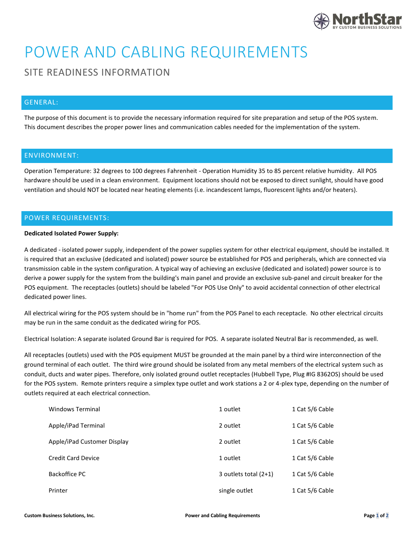

# POWER AND CABLING REQUIREMENTS

# SITE READINESS INFORMATION

## GENERAL:

The purpose of this document is to provide the necessary information required for site preparation and setup of the POS system. This document describes the proper power lines and communication cables needed for the implementation of the system.

#### ENVIRONMENT:

Operation Temperature: 32 degrees to 100 degrees Fahrenheit - Operation Humidity 35 to 85 percent relative humidity. All POS hardware should be used in a clean environment. Equipment locations should not be exposed to direct sunlight, should have good ventilation and should NOT be located near heating elements (i.e. incandescent lamps, fluorescent lights and/or heaters).

### POWER REQUIREMENTS:

#### **Dedicated Isolated Power Supply:**

A dedicated - isolated power supply, independent of the power supplies system for other electrical equipment, should be installed. It is required that an exclusive (dedicated and isolated) power source be established for POS and peripherals, which are connected via transmission cable in the system configuration. A typical way of achieving an exclusive (dedicated and isolated) power source is to derive a power supply for the system from the building's main panel and provide an exclusive sub-panel and circuit breaker for the POS equipment. The receptacles (outlets) should be labeled "For POS Use Only" to avoid accidental connection of other electrical dedicated power lines.

All electrical wiring for the POS system should be in "home run" from the POS Panel to each receptacle. No other electrical circuits may be run in the same conduit as the dedicated wiring for POS.

Electrical Isolation: A separate isolated Ground Bar is required for POS. A separate isolated Neutral Bar is recommended, as well.

All receptacles (outlets) used with the POS equipment MUST be grounded at the main panel by a third wire interconnection of the ground terminal of each outlet. The third wire ground should be isolated from any metal members of the electrical system such as conduit, ducts and water pipes. Therefore, only isolated ground outlet receptacles (Hubbell Type, Plug #IG 8362OS) should be used for the POS system. Remote printers require a simplex type outlet and work stations a 2 or 4-plex type, depending on the number of outlets required at each electrical connection.

| Windows Terminal            | 1 outlet                | 1 Cat 5/6 Cable |
|-----------------------------|-------------------------|-----------------|
| Apple/iPad Terminal         | 2 outlet                | 1 Cat 5/6 Cable |
| Apple/iPad Customer Display | 2 outlet                | 1 Cat 5/6 Cable |
| <b>Credit Card Device</b>   | 1 outlet                | 1 Cat 5/6 Cable |
| Backoffice PC               | 3 outlets total $(2+1)$ | 1 Cat 5/6 Cable |
| Printer                     | single outlet           | 1 Cat 5/6 Cable |